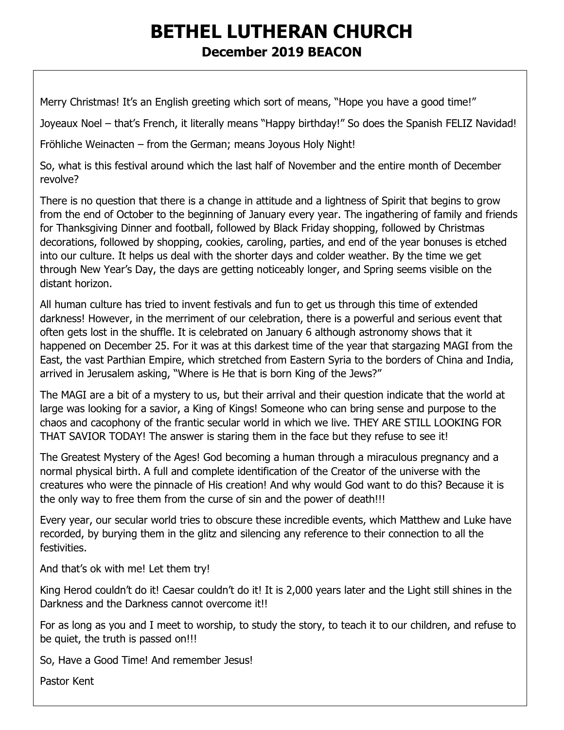# **BETHEL LUTHERAN CHURCH December 2019 BEACON**

Merry Christmas! It's an English greeting which sort of means, "Hope you have a good time!"

Joyeaux Noel – that's French, it literally means "Happy birthday!" So does the Spanish FELIZ Navidad!

Fröhliche Weinacten – from the German; means Joyous Holy Night!

So, what is this festival around which the last half of November and the entire month of December revolve?

There is no question that there is a change in attitude and a lightness of Spirit that begins to grow from the end of October to the beginning of January every year. The ingathering of family and friends for Thanksgiving Dinner and football, followed by Black Friday shopping, followed by Christmas decorations, followed by shopping, cookies, caroling, parties, and end of the year bonuses is etched into our culture. It helps us deal with the shorter days and colder weather. By the time we get through New Year's Day, the days are getting noticeably longer, and Spring seems visible on the distant horizon.

All human culture has tried to invent festivals and fun to get us through this time of extended darkness! However, in the merriment of our celebration, there is a powerful and serious event that often gets lost in the shuffle. It is celebrated on January 6 although astronomy shows that it happened on December 25. For it was at this darkest time of the year that stargazing MAGI from the East, the vast Parthian Empire, which stretched from Eastern Syria to the borders of China and India, arrived in Jerusalem asking, "Where is He that is born King of the Jews?"

The MAGI are a bit of a mystery to us, but their arrival and their question indicate that the world at large was looking for a savior, a King of Kings! Someone who can bring sense and purpose to the chaos and cacophony of the frantic secular world in which we live. THEY ARE STILL LOOKING FOR THAT SAVIOR TODAY! The answer is staring them in the face but they refuse to see it!

The Greatest Mystery of the Ages! God becoming a human through a miraculous pregnancy and a normal physical birth. A full and complete identification of the Creator of the universe with the creatures who were the pinnacle of His creation! And why would God want to do this? Because it is the only way to free them from the curse of sin and the power of death!!!

Every year, our secular world tries to obscure these incredible events, which Matthew and Luke have recorded, by burying them in the glitz and silencing any reference to their connection to all the festivities.

And that's ok with me! Let them try!

King Herod couldn't do it! Caesar couldn't do it! It is 2,000 years later and the Light still shines in the Darkness and the Darkness cannot overcome it!!

For as long as you and I meet to worship, to study the story, to teach it to our children, and refuse to be quiet, the truth is passed on!!!

So, Have a Good Time! And remember Jesus!

Pastor Kent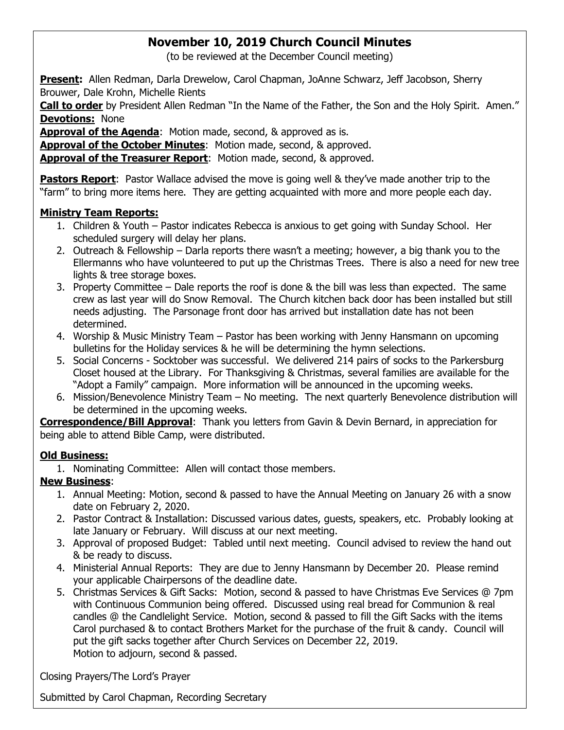## **November 10, 2019 Church Council Minutes**

(to be reviewed at the December Council meeting)

**Present:** Allen Redman, Darla Drewelow, Carol Chapman, JoAnne Schwarz, Jeff Jacobson, Sherry Brouwer, Dale Krohn, Michelle Rients

**Call to order** by President Allen Redman "In the Name of the Father, the Son and the Holy Spirit. Amen." **Devotions:** None

Approval of the Agenda: Motion made, second, & approved as is.

**Approval of the October Minutes**: Motion made, second, & approved.

**Approval of the Treasurer Report**: Motion made, second, & approved.

**Pastors Report**: Pastor Wallace advised the move is going well & they've made another trip to the "farm" to bring more items here. They are getting acquainted with more and more people each day.

#### **Ministry Team Reports:**

- 1. Children & Youth Pastor indicates Rebecca is anxious to get going with Sunday School. Her scheduled surgery will delay her plans.
- 2. Outreach & Fellowship Darla reports there wasn't a meeting; however, a big thank you to the Ellermanns who have volunteered to put up the Christmas Trees. There is also a need for new tree lights & tree storage boxes.
- 3. Property Committee Dale reports the roof is done & the bill was less than expected. The same crew as last year will do Snow Removal. The Church kitchen back door has been installed but still needs adjusting. The Parsonage front door has arrived but installation date has not been determined.
- 4. Worship & Music Ministry Team Pastor has been working with Jenny Hansmann on upcoming bulletins for the Holiday services & he will be determining the hymn selections.
- 5. Social Concerns Socktober was successful. We delivered 214 pairs of socks to the Parkersburg Closet housed at the Library. For Thanksgiving & Christmas, several families are available for the "Adopt a Family" campaign. More information will be announced in the upcoming weeks.
- 6. Mission/Benevolence Ministry Team No meeting. The next quarterly Benevolence distribution will be determined in the upcoming weeks.

**Correspondence/Bill Approval**: Thank you letters from Gavin & Devin Bernard, in appreciation for being able to attend Bible Camp, were distributed.

#### **Old Business:**

1. Nominating Committee: Allen will contact those members.

#### **New Business**:

- 1. Annual Meeting: Motion, second & passed to have the Annual Meeting on January 26 with a snow date on February 2, 2020.
- 2. Pastor Contract & Installation: Discussed various dates, guests, speakers, etc. Probably looking at late January or February. Will discuss at our next meeting.
- 3. Approval of proposed Budget: Tabled until next meeting. Council advised to review the hand out & be ready to discuss.
- 4. Ministerial Annual Reports: They are due to Jenny Hansmann by December 20. Please remind your applicable Chairpersons of the deadline date.
- 5. Christmas Services & Gift Sacks: Motion, second & passed to have Christmas Eve Services @ 7pm with Continuous Communion being offered. Discussed using real bread for Communion & real candles @ the Candlelight Service. Motion, second & passed to fill the Gift Sacks with the items Carol purchased & to contact Brothers Market for the purchase of the fruit & candy. Council will put the gift sacks together after Church Services on December 22, 2019. Motion to adjourn, second & passed.

Closing Prayers/The Lord's Prayer

Submitted by Carol Chapman, Recording Secretary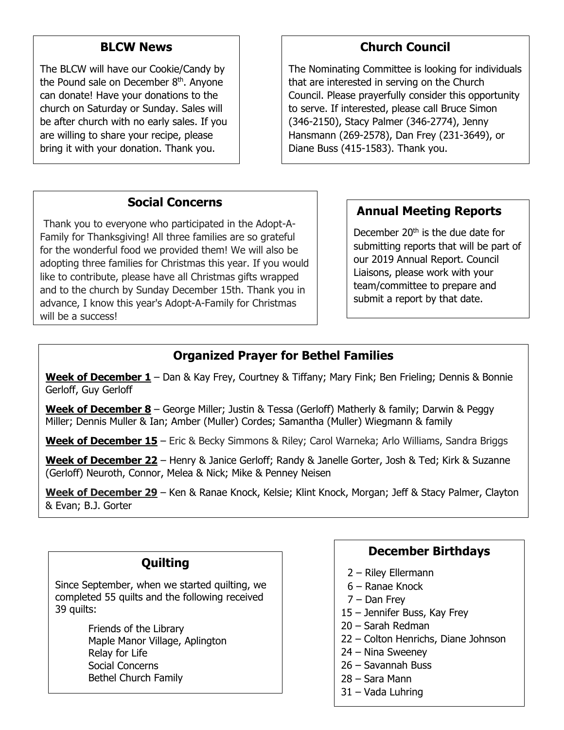#### **BLCW News**

The BLCW will have our Cookie/Candy by the Pound sale on December 8<sup>th</sup>. Anyone can donate! Have your donations to the church on Saturday or Sunday. Sales will be after church with no early sales. If you are willing to share your recipe, please bring it with your donation. Thank you.

# **Church Council**

The Nominating Committee is looking for individuals that are interested in serving on the Church Council. Please prayerfully consider this opportunity to serve. If interested, please call Bruce Simon (346-2150), Stacy Palmer (346-2774), Jenny Hansmann (269-2578), Dan Frey (231-3649), or Diane Buss (415-1583). Thank you.

## **Social Concerns**

Thank you to everyone who participated in the Adopt-A-Family for Thanksgiving! All three families are so grateful for the wonderful food we provided them! We will also be adopting three families for Christmas this year. If you would like to contribute, please have all Christmas gifts wrapped and to the church by Sunday December 15th. Thank you in advance, I know this year's Adopt-A-Family for Christmas will be a success!

## **Annual Meeting Reports**

December  $20<sup>th</sup>$  is the due date for submitting reports that will be part of our 2019 Annual Report. Council Liaisons, please work with your team/committee to prepare and submit a report by that date.

## **Organized Prayer for Bethel Families**

**Week of December 1** – Dan & Kay Frey, Courtney & Tiffany; Mary Fink; Ben Frieling; Dennis & Bonnie Gerloff, Guy Gerloff

**Week of December 8** – George Miller; Justin & Tessa (Gerloff) Matherly & family; Darwin & Peggy Miller; Dennis Muller & Ian; Amber (Muller) Cordes; Samantha (Muller) Wiegmann & family

**Week of December 15** – Eric & Becky Simmons & Riley; Carol Warneka; Arlo Williams, Sandra Briggs

**Week of December 22** – Henry & Janice Gerloff; Randy & Janelle Gorter, Josh & Ted; Kirk & Suzanne (Gerloff) Neuroth, Connor, Melea & Nick; Mike & Penney Neisen

**Week of December 29** – Ken & Ranae Knock, Kelsie; Klint Knock, Morgan; Jeff & Stacy Palmer, Clayton & Evan; B.J. Gorter

#### **Quilting**

Since September, when we started quilting, we completed 55 quilts and the following received 39 quilts:

> Friends of the Library Maple Manor Village, Aplington Relay for Life Social Concerns Bethel Church Family

## **December Birthdays**

- 2 Riley Ellermann
- 6 Ranae Knock
- 7 Dan Frey
- 15 Jennifer Buss, Kay Frey
- 20 Sarah Redman
- 22 Colton Henrichs, Diane Johnson
- 24 Nina Sweeney
- 26 Savannah Buss
- 28 Sara Mann
- 31 Vada Luhring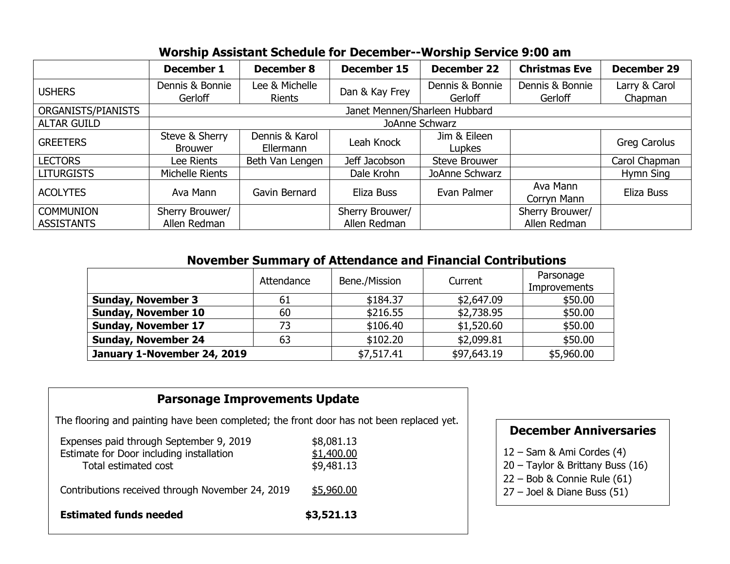|                                       | December 1                       | <b>December 8</b>               | <b>December 15</b>              | <b>December 22</b>         | <b>Christmas Eve</b>            | <b>December 29</b>       |
|---------------------------------------|----------------------------------|---------------------------------|---------------------------------|----------------------------|---------------------------------|--------------------------|
| <b>USHERS</b>                         | Dennis & Bonnie<br>Gerloff       | Lee & Michelle<br><b>Rients</b> | Dan & Kay Frey                  | Dennis & Bonnie<br>Gerloff | Dennis & Bonnie<br>Gerloff      | Larry & Carol<br>Chapman |
| ORGANISTS/PIANISTS                    | Janet Mennen/Sharleen Hubbard    |                                 |                                 |                            |                                 |                          |
| <b>ALTAR GUILD</b>                    | JoAnne Schwarz                   |                                 |                                 |                            |                                 |                          |
| <b>GREETERS</b>                       | Steve & Sherry<br><b>Brouwer</b> | Dennis & Karol<br>Ellermann     | Leah Knock                      | Jim & Eileen<br>Lupkes     |                                 | Greg Carolus             |
| <b>LECTORS</b>                        | Lee Rients                       | Beth Van Lengen                 | Jeff Jacobson                   | Steve Brouwer              |                                 | Carol Chapman            |
| <b>LITURGISTS</b>                     | Michelle Rients                  |                                 | Dale Krohn                      | JoAnne Schwarz             |                                 | Hymn Sing                |
| <b>ACOLYTES</b>                       | Ava Mann                         | Gavin Bernard                   | Eliza Buss                      | Evan Palmer                | Ava Mann<br>Corryn Mann         | Eliza Buss               |
| <b>COMMUNION</b><br><b>ASSISTANTS</b> | Sherry Brouwer/<br>Allen Redman  |                                 | Sherry Brouwer/<br>Allen Redman |                            | Sherry Brouwer/<br>Allen Redman |                          |

#### **November Summary of Attendance and Financial Contributions**

|                             | Attendance | Bene./Mission | Current     | Parsonage<br><b>Improvements</b> |  |
|-----------------------------|------------|---------------|-------------|----------------------------------|--|
| <b>Sunday, November 3</b>   | 61         | \$184.37      | \$2,647.09  | \$50.00                          |  |
| <b>Sunday, November 10</b>  | 60         | \$216.55      | \$2,738.95  | \$50.00                          |  |
| <b>Sunday, November 17</b>  | 73         | \$106.40      | \$1,520.60  | \$50.00                          |  |
| <b>Sunday, November 24</b>  | 63         | \$102.20      | \$2,099.81  | \$50.00                          |  |
| January 1-November 24, 2019 |            | \$7,517.41    | \$97,643.19 | \$5,960.00                       |  |

## **Parsonage Improvements Update**

The flooring and painting have been completed; the front door has not been replaced yet.

| Expenses paid through September 9, 2019<br>Estimate for Door including installation<br>Total estimated cost | \$8,081.13<br>\$1,400.00<br>\$9,481.13 |
|-------------------------------------------------------------------------------------------------------------|----------------------------------------|
| Contributions received through November 24, 2019                                                            | \$5,960.00                             |
| <b>Estimated funds needed</b>                                                                               | \$3,521.13                             |

## **December Anniversaries**

12 – Sam & Ami Cordes (4)

- 20 Taylor & Brittany Buss (16)
- 22 Bob & Connie Rule (61)
- 27 Joel & Diane Buss (51)